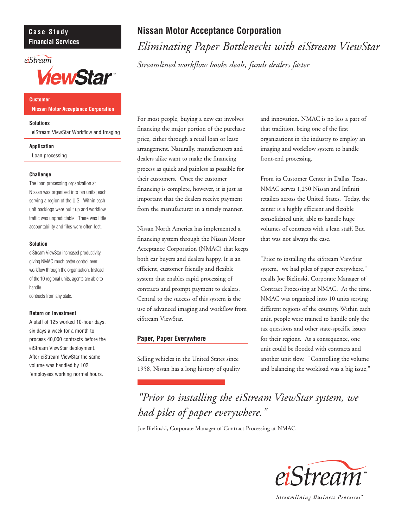# **Case Study Financial Services**

# eiStream



**Customer Nissan Motor Acceptance Corporation**

## **Solutions**

eiStream ViewStar Workflow and Imaging

### **Application**

Loan processing

## **Challenge**

The loan processing organization at Nissan was organized into ten units; each serving a region of the U.S. Within each unit backlogs were built up and workflow traffic was unpredictable. There was little accountability and files were often lost.

### **Solution**

eiStream ViewStar increased productivity, giving NMAC much better control over workflow through the organization. Instead of the 10 regional units, agents are able to handle contracts from any state.

## **Return on Investment**

A staff of 125 worked 10-hour days, six days a week for a month to process 40,000 contracts before the eiStream ViewStar deployment. After eiStream ViewStar the same volume was handled by 102 `employees working normal hours.

# **Nissan Motor Acceptance Corporation**

*Eliminating Paper Bottlenecks with eiStream ViewStar*

*Streamlined workflow books deals, funds dealers faster*

For most people, buying a new car involves financing the major portion of the purchase price, either through a retail loan or lease arrangement. Naturally, manufacturers and dealers alike want to make the financing process as quick and painless as possible for their customers. Once the customer financing is complete, however, it is just as important that the dealers receive payment from the manufacturer in a timely manner.

Nissan North America has implemented a financing system through the Nissan Motor Acceptance Corporation (NMAC) that keeps both car buyers and dealers happy. It is an efficient, customer friendly and flexible system that enables rapid processing of contracts and prompt payment to dealers. Central to the success of this system is the use of advanced imaging and workflow from eiStream ViewStar.

# **Paper, Paper Everywhere**

Selling vehicles in the United States since 1958, Nissan has a long history of quality and innovation. NMAC is no less a part of that tradition, being one of the first organizations in the industry to employ an imaging and workflow system to handle front-end processing.

From its Customer Center in Dallas, Texas, NMAC serves 1,250 Nissan and Infiniti retailers across the United States. Today, the center is a highly efficient and flexible consolidated unit, able to handle huge volumes of contracts with a lean staff. But, that was not always the case.

"Prior to installing the eiStream ViewStar system, we had piles of paper everywhere," recalls Joe Bielinski, Corporate Manager of Contract Processing at NMAC. At the time, NMAC was organized into 10 units serving different regions of the country. Within each unit, people were trained to handle only the tax questions and other state-specific issues for their regions. As a consequence, one unit could be flooded with contracts and another unit slow. "Controlling the volume and balancing the workload was a big issue,"

*"Prior to installing the eiStream ViewStar system, we had piles of paper everywhere."*

Joe Bielinski, Corporate Manager of Contract Processing at NMAC



Streamlining Business Processes<sup>™</sup>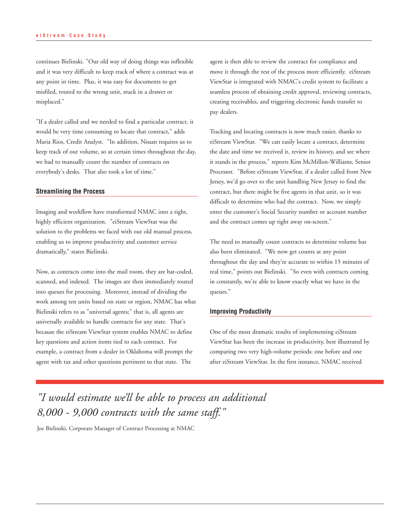continues Bielinski. "Our old way of doing things was inflexible and it was very difficult to keep track of where a contract was at any point in time. Plus, it was easy for documents to get misfiled, routed to the wrong unit, stuck in a drawer or misplaced."

"If a dealer called and we needed to find a particular contract, it would be very time consuming to locate that contract," adds Maria Rios, Credit Analyst. "In addition, Nissan requires us to keep track of our volume, so at certain times throughout the day, we had to manually count the number of contracts on everybody's desks. That also took a lot of time."

## **Streamlining the Process**

Imaging and workflow have transformed NMAC into a tight, highly efficient organization. "eiStream ViewStar was the solution to the problems we faced with our old manual process, enabling us to improve productivity and customer service dramatically," states Bielinski.

Now, as contracts come into the mail room, they are bar-coded, scanned, and indexed. The images are then immediately routed into queues for processing. Moreover, instead of dividing the work among ten units based on state or region, NMAC has what Bielinski refers to as "universal agents;" that is, all agents are universally available to handle contracts for any state. That's because the eiStream ViewStar system enables NMAC to define key questions and action items tied to each contract. For example, a contract from a dealer in Oklahoma will prompt the agent with tax and other questions pertinent to that state. The

agent is then able to review the contract for compliance and move it through the rest of the process more efficiently. eiStream ViewStar is integrated with NMAC's credit system to facilitate a seamless process of obtaining credit approval, reviewing contracts, creating receivables, and triggering electronic funds transfer to pay dealers.

Tracking and locating contracts is now much easier, thanks to eiStream ViewStar. "We can easily locate a contract, determine the date and time we received it, review its history, and see where it stands in the process," reports Kim McMillon-Williams, Senior Processor. "Before eiStream ViewStar, if a dealer called from New Jersey, we'd go over to the unit handling New Jersey to find the contract, but there might be five agents in that unit, so it was difficult to determine who had the contract. Now, we simply enter the customer's Social Security number or account number and the contract comes up right away on-screen."

The need to manually count contracts to determine volume has also been eliminated. "We now get counts at any point throughout the day and they're accurate to within 15 minutes of real time," points out Bielinski. "So even with contracts coming in constantly, we're able to know exactly what we have in the queues."

## **Improving Productivity**

One of the most dramatic results of implementing eiStream ViewStar has been the increase in productivity, best illustrated by comparing two very high-volume periods: one before and one after eiStream ViewStar. In the first instance, NMAC received

*"I would estimate we'll be able to process an additional 8,000 - 9,000 contracts with the same staff."*

Joe Bielinski, Corporate Manager of Contract Processing at NMAC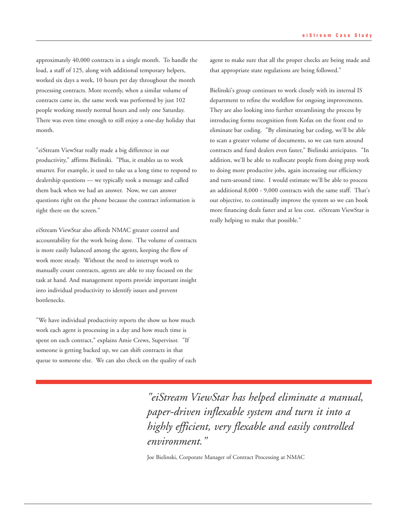approximately 40,000 contracts in a single month. To handle the load, a staff of 125, along with additional temporary helpers, worked six days a week, 10 hours per day throughout the month processing contracts. More recently, when a similar volume of contracts came in, the same work was performed by just 102 people working mostly normal hours and only one Saturday. There was even time enough to still enjoy a one-day holiday that month.

"eiStream ViewStar really made a big difference in our productivity," affirms Bielinski. "Plus, it enables us to work smarter. For example, it used to take us a long time to respond to dealership questions — we typically took a message and called them back when we had an answer. Now, we can answer questions right on the phone because the contract information is right there on the screen."

eiStream ViewStar also affords NMAC greater control and accountability for the work being done. The volume of contracts is more easily balanced among the agents, keeping the flow of work more steady. Without the need to interrupt work to manually count contracts, agents are able to stay focused on the task at hand. And management reports provide important insight into individual productivity to identify issues and prevent bottlenecks.

"We have individual productivity reports the show us how much work each agent is processing in a day and how much time is spent on each contract," explains Amie Crews, Supervisor. "If someone is getting backed up, we can shift contracts in that queue to someone else. We can also check on the quality of each agent to make sure that all the proper checks are being made and that appropriate state regulations are being followed."

Bielinski's group continues to work closely with its internal IS department to refine the workflow for ongoing improvements. They are also looking into further streamlining the process by introducing forms recognition from Kofax on the front end to eliminate bar coding. "By eliminating bar coding, we'll be able to scan a greater volume of documents, so we can turn around contracts and fund dealers even faster," Bielinski anticipates. "In addition, we'll be able to reallocate people from doing prep work to doing more productive jobs, again increasing our efficiency and turn-around time. I would estimate we'll be able to process an additional 8,000 - 9,000 contracts with the same staff. That's our objective, to continually improve the system so we can book more financing deals faster and at less cost. eiStream ViewStar is really helping to make that possible."

*"eiStream ViewStar has helped eliminate a manual, paper-driven inflexable system and turn it into a highly efficient, very flexable and easily controlled environment."*

Joe Bielinski, Corporate Manager of Contract Processing at NMAC